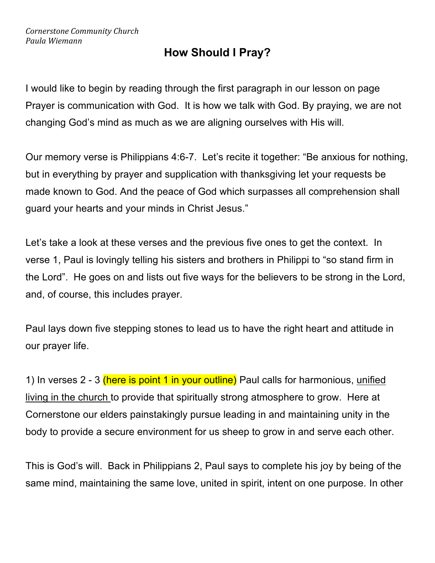# **How Should I Pray?**

I would like to begin by reading through the first paragraph in our lesson on page Prayer is communication with God. It is how we talk with God. By praying, we are not changing God's mind as much as we are aligning ourselves with His will.

Our memory verse is Philippians 4:6-7. Let's recite it together: "Be anxious for nothing, but in everything by prayer and supplication with thanksgiving let your requests be made known to God. And the peace of God which surpasses all comprehension shall guard your hearts and your minds in Christ Jesus."

Let's take a look at these verses and the previous five ones to get the context. In verse 1, Paul is lovingly telling his sisters and brothers in Philippi to "so stand firm in the Lord". He goes on and lists out five ways for the believers to be strong in the Lord, and, of course, this includes prayer.

Paul lays down five stepping stones to lead us to have the right heart and attitude in our prayer life.

1) In verses 2 - 3 (here is point 1 in your outline) Paul calls for harmonious, unified living in the church to provide that spiritually strong atmosphere to grow. Here at Cornerstone our elders painstakingly pursue leading in and maintaining unity in the body to provide a secure environment for us sheep to grow in and serve each other.

This is God's will. Back in Philippians 2, Paul says to complete his joy by being of the same mind, maintaining the same love, united in spirit, intent on one purpose. In other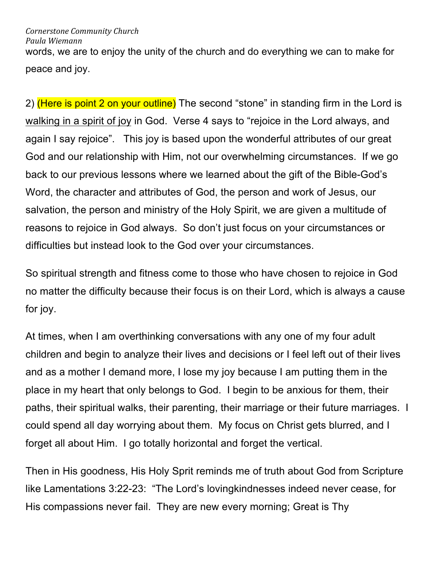## *Cornerstone Community Church*

*Paula Wiemann*

words, we are to enjoy the unity of the church and do everything we can to make for peace and joy.

2) (Here is point 2 on your outline) The second "stone" in standing firm in the Lord is walking in a spirit of joy in God. Verse 4 says to "rejoice in the Lord always, and again I say rejoice". This joy is based upon the wonderful attributes of our great God and our relationship with Him, not our overwhelming circumstances. If we go back to our previous lessons where we learned about the gift of the Bible-God's Word, the character and attributes of God, the person and work of Jesus, our salvation, the person and ministry of the Holy Spirit, we are given a multitude of reasons to rejoice in God always. So don't just focus on your circumstances or difficulties but instead look to the God over your circumstances.

So spiritual strength and fitness come to those who have chosen to rejoice in God no matter the difficulty because their focus is on their Lord, which is always a cause for joy.

At times, when I am overthinking conversations with any one of my four adult children and begin to analyze their lives and decisions or I feel left out of their lives and as a mother I demand more, I lose my joy because I am putting them in the place in my heart that only belongs to God. I begin to be anxious for them, their paths, their spiritual walks, their parenting, their marriage or their future marriages. I could spend all day worrying about them. My focus on Christ gets blurred, and I forget all about Him. I go totally horizontal and forget the vertical.

Then in His goodness, His Holy Sprit reminds me of truth about God from Scripture like Lamentations 3:22-23: "The Lord's lovingkindnesses indeed never cease, for His compassions never fail. They are new every morning; Great is Thy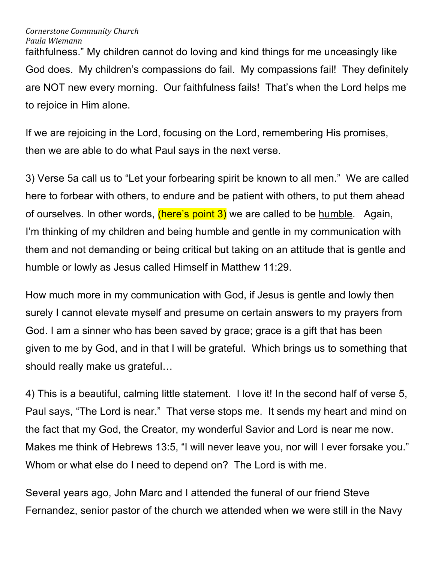faithfulness." My children cannot do loving and kind things for me unceasingly like God does. My children's compassions do fail. My compassions fail! They definitely are NOT new every morning. Our faithfulness fails! That's when the Lord helps me to rejoice in Him alone.

If we are rejoicing in the Lord, focusing on the Lord, remembering His promises, then we are able to do what Paul says in the next verse.

3) Verse 5a call us to "Let your forbearing spirit be known to all men." We are called here to forbear with others, to endure and be patient with others, to put them ahead of ourselves. In other words, (here's point 3) we are called to be humble. Again, I'm thinking of my children and being humble and gentle in my communication with them and not demanding or being critical but taking on an attitude that is gentle and humble or lowly as Jesus called Himself in Matthew 11:29.

How much more in my communication with God, if Jesus is gentle and lowly then surely I cannot elevate myself and presume on certain answers to my prayers from God. I am a sinner who has been saved by grace; grace is a gift that has been given to me by God, and in that I will be grateful. Which brings us to something that should really make us grateful…

4) This is a beautiful, calming little statement. I love it! In the second half of verse 5, Paul says, "The Lord is near." That verse stops me. It sends my heart and mind on the fact that my God, the Creator, my wonderful Savior and Lord is near me now. Makes me think of Hebrews 13:5, "I will never leave you, nor will I ever forsake you." Whom or what else do I need to depend on? The Lord is with me.

Several years ago, John Marc and I attended the funeral of our friend Steve Fernandez, senior pastor of the church we attended when we were still in the Navy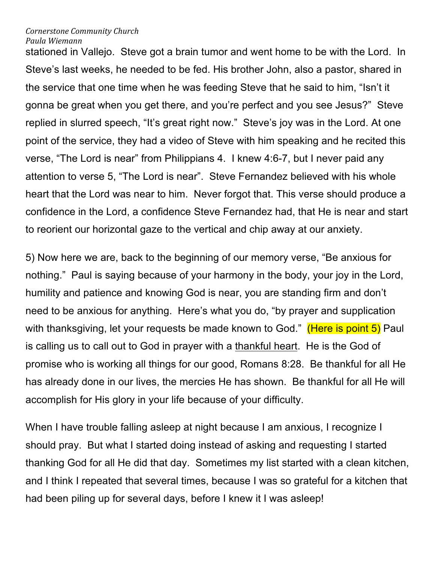stationed in Vallejo. Steve got a brain tumor and went home to be with the Lord. In Steve's last weeks, he needed to be fed. His brother John, also a pastor, shared in the service that one time when he was feeding Steve that he said to him, "Isn't it gonna be great when you get there, and you're perfect and you see Jesus?" Steve replied in slurred speech, "It's great right now." Steve's joy was in the Lord. At one point of the service, they had a video of Steve with him speaking and he recited this verse, "The Lord is near" from Philippians 4. I knew 4:6-7, but I never paid any attention to verse 5, "The Lord is near". Steve Fernandez believed with his whole heart that the Lord was near to him. Never forgot that. This verse should produce a confidence in the Lord, a confidence Steve Fernandez had, that He is near and start to reorient our horizontal gaze to the vertical and chip away at our anxiety.

5) Now here we are, back to the beginning of our memory verse, "Be anxious for nothing." Paul is saying because of your harmony in the body, your joy in the Lord, humility and patience and knowing God is near, you are standing firm and don't need to be anxious for anything. Here's what you do, "by prayer and supplication with thanksgiving, let your requests be made known to God." (Here is point 5) Paul is calling us to call out to God in prayer with a thankful heart. He is the God of promise who is working all things for our good, Romans 8:28. Be thankful for all He has already done in our lives, the mercies He has shown. Be thankful for all He will accomplish for His glory in your life because of your difficulty.

When I have trouble falling asleep at night because I am anxious, I recognize I should pray. But what I started doing instead of asking and requesting I started thanking God for all He did that day. Sometimes my list started with a clean kitchen, and I think I repeated that several times, because I was so grateful for a kitchen that had been piling up for several days, before I knew it I was asleep!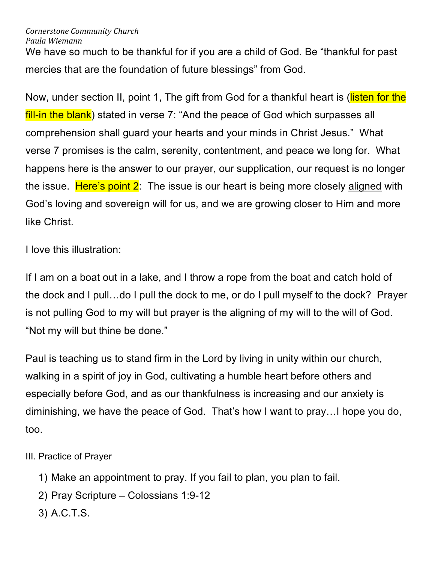We have so much to be thankful for if you are a child of God. Be "thankful for past mercies that are the foundation of future blessings" from God.

Now, under section II, point 1, The gift from God for a thankful heart is (listen for the fill-in the blank) stated in verse 7: "And the peace of God which surpasses all comprehension shall guard your hearts and your minds in Christ Jesus." What verse 7 promises is the calm, serenity, contentment, and peace we long for. What happens here is the answer to our prayer, our supplication, our request is no longer the issue. Here's point 2: The issue is our heart is being more closely aligned with God's loving and sovereign will for us, and we are growing closer to Him and more like Christ.

I love this illustration:

If I am on a boat out in a lake, and I throw a rope from the boat and catch hold of the dock and I pull…do I pull the dock to me, or do I pull myself to the dock? Prayer is not pulling God to my will but prayer is the aligning of my will to the will of God. "Not my will but thine be done."

Paul is teaching us to stand firm in the Lord by living in unity within our church, walking in a spirit of joy in God, cultivating a humble heart before others and especially before God, and as our thankfulness is increasing and our anxiety is diminishing, we have the peace of God. That's how I want to pray…I hope you do, too.

III. Practice of Prayer

- 1) Make an appointment to pray. If you fail to plan, you plan to fail.
- 2) Pray Scripture Colossians 1:9-12
- 3) A.C.T.S.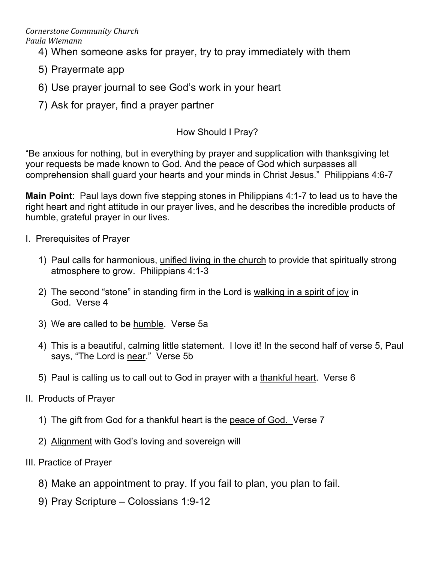- 4) When someone asks for prayer, try to pray immediately with them
- 5) Prayermate app
- 6) Use prayer journal to see God's work in your heart
- 7) Ask for prayer, find a prayer partner

# How Should I Pray?

"Be anxious for nothing, but in everything by prayer and supplication with thanksgiving let your requests be made known to God. And the peace of God which surpasses all comprehension shall guard your hearts and your minds in Christ Jesus." Philippians 4:6-7

**Main Point**: Paul lays down five stepping stones in Philippians 4:1-7 to lead us to have the right heart and right attitude in our prayer lives, and he describes the incredible products of humble, grateful prayer in our lives.

- I. Prerequisites of Prayer
	- 1) Paul calls for harmonious, unified living in the church to provide that spiritually strong atmosphere to grow. Philippians 4:1-3
	- 2) The second "stone" in standing firm in the Lord is walking in a spirit of joy in God. Verse 4
	- 3) We are called to be humble. Verse 5a
	- 4) This is a beautiful, calming little statement. I love it! In the second half of verse 5, Paul says, "The Lord is near." Verse 5b
	- 5) Paul is calling us to call out to God in prayer with a thankful heart. Verse 6
- II. Products of Prayer
	- 1) The gift from God for a thankful heart is the peace of God. Verse 7
	- 2) Alignment with God's loving and sovereign will
- III. Practice of Prayer
	- 8) Make an appointment to pray. If you fail to plan, you plan to fail.
	- 9) Pray Scripture Colossians 1:9-12